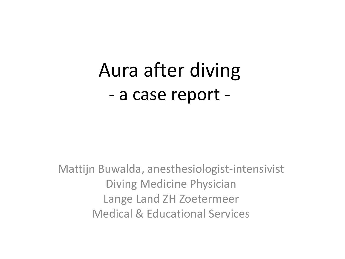# Aura after diving - a case report -

Mattijn Buwalda, anesthesiologist-intensivist Diving Medicine Physician Lange Land ZH Zoetermeer Medical & Educational Services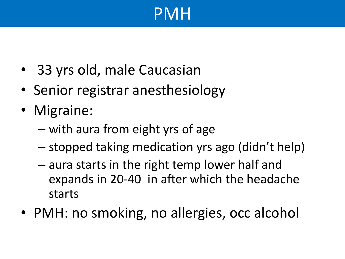# PMH

- 33 yrs old, male Caucasian
- Senior registrar anesthesiology
- Migraine:
	- with aura from eight yrs of age
	- stopped taking medication yrs ago (didn't help)
	- aura starts in the right temp lower half and expands in 20-40 in after which the headache starts
- PMH: no smoking, no allergies, occ alcohol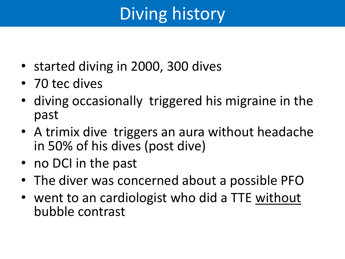# Diving history

- started diving in 2000, 300 dives
- 70 tec dives
- diving occasionally triggered his migraine in the past
- A trimix dive triggers an aura without headache in 50% of his dives (post dive)
- no DCI in the past
- The diver was concerned about a possible PFO
- went to an cardiologist who did a TTE without bubble contrast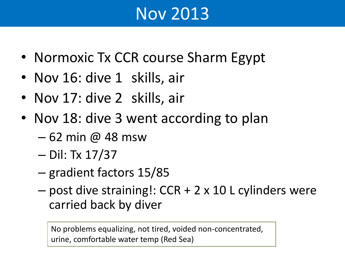## Nov 2013

- Normoxic Tx CCR course Sharm Egypt
- Nov 16: dive 1 skills, air
- Nov 17: dive 2 skills, air
- Nov 18: dive 3 went according to plan
	- 62 min @ 48 msw
	- Dil: Tx 17/37
	- gradient factors 15/85
	- post dive straining!: CCR + 2 x 10 L cylinders were carried back by diver

No problems equalizing, not tired, voided non-concentrated, urine, comfortable water temp (Red Sea)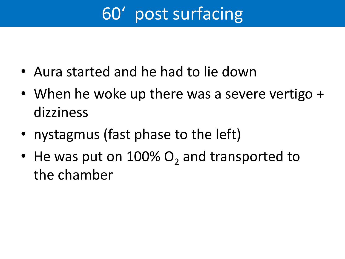# 60' post surfacing

- Aura started and he had to lie down
- When he woke up there was a severe vertigo + dizziness
- nystagmus (fast phase to the left)
- He was put on  $100\%$  O<sub>2</sub> and transported to the chamber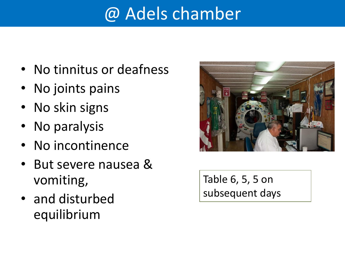# @ Adels chamber

- No tinnitus or deafness
- No joints pains
- No skin signs
- No paralysis
- No incontinence
- But severe nausea & vomiting,
- and disturbed equilibrium



Table 6, 5, 5 on subsequent days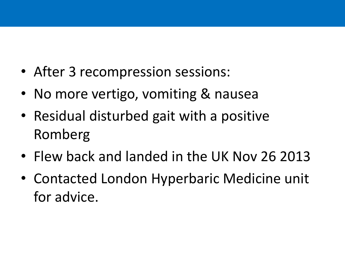- After 3 recompression sessions:
- No more vertigo, vomiting & nausea
- Residual disturbed gait with a positive Romberg
- Flew back and landed in the UK Nov 26 2013
- Contacted London Hyperbaric Medicine unit for advice.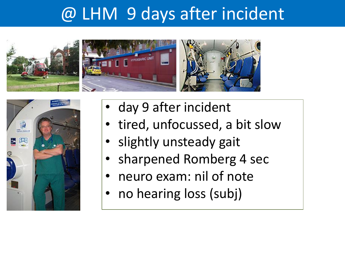### @ LHM 9 days after incident







- day 9 after incident
- tired, unfocussed, a bit slow
- slightly unsteady gait
- sharpened Romberg 4 sec
- neuro exam: nil of note
- no hearing loss (subj)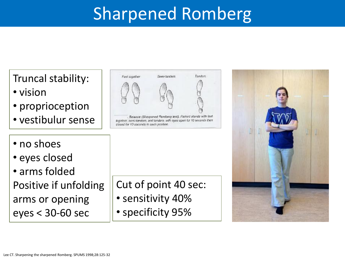## Sharpened Romberg

Truncal stability:

- vision
- proprioception
- vestibulur sense



. Balance (Sharpened Romberg test). Patient stands with feet together, semi-tandem, and tandem, with eyes open for 10 seconds then closed for 10 seconds in each position.

- no shoes
- eyes closed
- arms folded Positive if unfolding arms or opening eyes < 30-60 sec

Cut of point 40 sec:

- sensitivity 40%
- specificity 95%

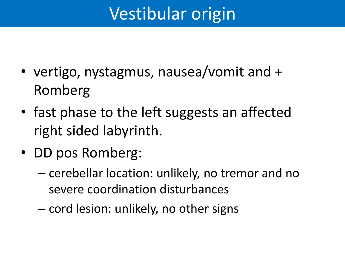# Vestibular origin

- vertigo, nystagmus, nausea/vomit and + Romberg
- fast phase to the left suggests an affected right sided labyrinth.
- DD pos Romberg:
	- cerebellar location: unlikely, no tremor and no severe coordination disturbances
	- cord lesion: unlikely, no other signs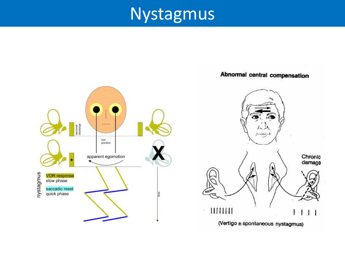#### Nystagmus



#### Abnormal central compensation

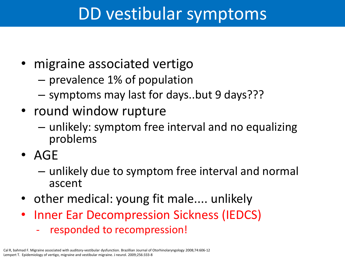#### DD vestibular symptoms

- migraine associated vertigo
	- prevalence 1% of population
	- symptoms may last for days..but 9 days???
- round window rupture
	- unlikely: symptom free interval and no equalizing problems
- AGE
	- unlikely due to symptom free interval and normal ascent
- other medical: young fit male.... unlikely
- Inner Ear Decompression Sickness (IEDCS)
	- responded to recompression!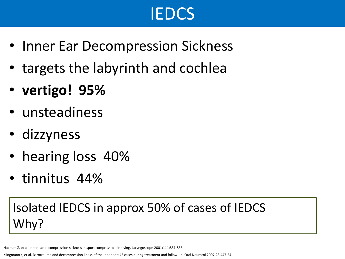# IEDCS

- Inner Ear Decompression Sickness
- targets the labyrinth and cochlea
- **vertigo! 95%**
- unsteadiness
- dizzyness
- hearing loss 40%
- tinnitus 44%

#### Isolated IEDCS in approx 50% of cases of IEDCS Why?

Nachum Z, et al. Inner ear decompression sickness in sport compressed-air diving. Laryngoscope 2001;111:851-856

Klingmann c, et al. Barotrauma and decompression ilness of the inner ear: 46 cases during treatment and follow up. Otol Neurotol 2007;28:447-54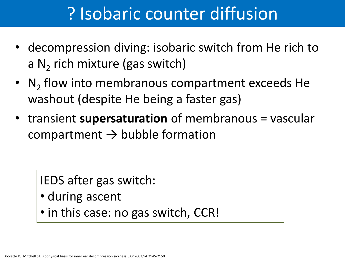### ? Isobaric counter diffusion

- decompression diving: isobaric switch from He rich to a  $N_2$  rich mixture (gas switch)
- $N_2$  flow into membranous compartment exceeds He washout (despite He being a faster gas)
- transient **supersaturation** of membranous = vascular compartment  $\rightarrow$  bubble formation

IEDS after gas switch:

- during ascent
- in this case: no gas switch, CCR!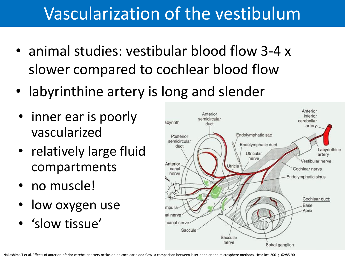## Vascularization of the vestibulum

- animal studies: vestibular blood flow 3-4 x slower compared to cochlear blood flow
- labyrinthine artery is long and slender
- inner ear is poorly vascularized
- relatively large fluid compartments
- no muscle!
- low oxygen use
- 'slow tissue'

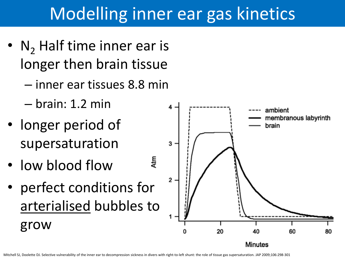## Modelling inner ear gas kinetics

- $N<sub>2</sub>$  Half time inner ear is longer then brain tissue
	- inner ear tissues 8.8 min
	- brain: 1.2 min
- longer period of supersaturation
- low blood flow
- perfect conditions for arterialised bubbles to grow



4tm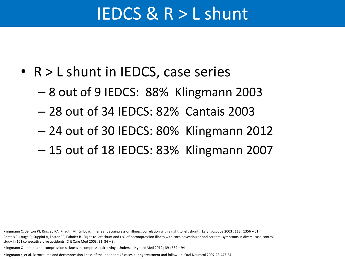#### IEDCS & R > L shunt

- R > L shunt in IEDCS, case series
	- 8 out of 9 IEDCS: 88% Klingmann 2003
	- 28 out of 34 IEDCS: 82% Cantais 2003
	- 24 out of 30 IEDCS: 80% Klingmann 2012
	- 15 out of 18 IEDCS: 83% Klingmann 2007

Klingmann C, Benton PJ, Ringleb PA, Knauth M . Embolic inner ear decompression illness: correlation with a right to left shunt . Laryngoscope 2003 ; 113 : 1356 – 61 Cantais E, Louge P, Suppini A, Foster PP, Palmier B . Right-to-left shunt and risk of decompression illness with cochleovestibular and cerebral symptoms in divers: case-control study in 101 consecutive dive accidents. Crit Care Med 2003; 31: 84 – 8 .

Klingmann C . Inner ear decompression sickness in compressedair diving . Undersea Hyperb Med 2012 ; 39 : 589 – 94

Klingmann c, et al. Barotrauma and decompression ilness of the inner ear: 46 cases during treatment and follow up. Otol Neurotol 2007;28:447-54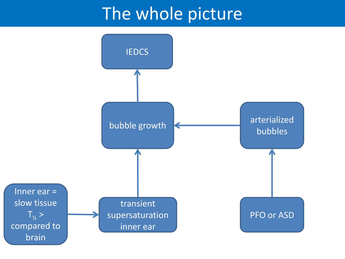#### The whole picture

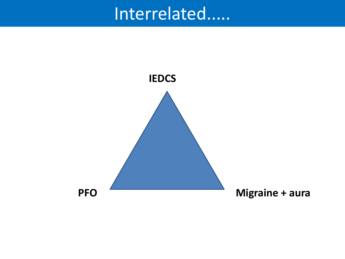### Interrelated.....

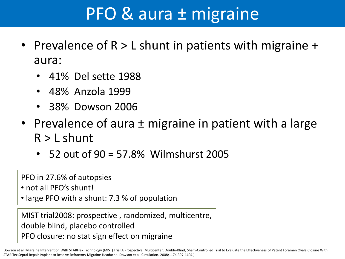#### PFO & aura ± migraine

- Prevalence of R > L shunt in patients with migraine + aura:
	- 41% Del sette 1988
	- 48% Anzola 1999
	- 38% Dowson 2006
- Prevalence of aura  $\pm$  migraine in patient with a large  $R > L$  shunt
	- 52 out of 90 = 57.8% Wilmshurst 2005

PFO in 27.6% of autopsies

• not all PFO's shunt!

• large PFO with a shunt: 7.3 % of population

MIST trial2008: prospective , randomized, multicentre, double blind, placebo controlled PFO closure: no stat sign effect on migraine

Dowson et al. Migraine Intervention With STARFlex Technology (MIST) Trial A Prospective, Multicenter, Double-Blind, Sham-Controlled Trial to Evaluate the Effectiveness of Patent Foramen Ovale Closure With STARFlex Septal Repair Implant to Resolve Refractory Migraine Headache. Dowson et al. Circulation. 2008;117:1397-1404.)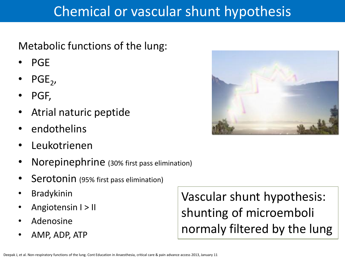#### Chemical or vascular shunt hypothesis

Metabolic functions of the lung:

- PGE
- $PGE_2$ ,
- PGF,
- Atrial naturic peptide
- endothelins
- Leukotrienen
- Norepinephrine (30% first pass elimination)
- Serotonin (95% first pass elimination)
- **Bradykinin**
- Angiotensin I > II
- Adenosine
- AMP, ADP, ATP

Vascular shunt hypothesis: shunting of microemboli normaly filtered by the lung

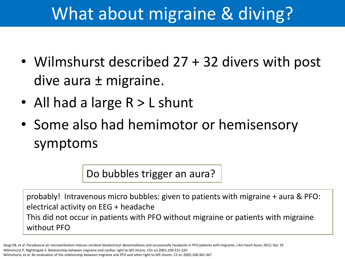# What about migraine & diving?

- Wilmshurst described 27 + 32 divers with post dive aura ± migraine.
- All had a large R > L shunt
- Some also had hemimotor or hemisensory symptoms

Do bubbles trigger an aura?

probably! Intravenous micro bubbles: given to patients with migraine + aura & PFO: electrical activity on EEG + headache This did not occur in patients with PFO without migraine or patients with migraine without PFO

Wilmshurst P, Nightingale S. Relationship between migraine and cardiac right to left shunts. Clin sci 2001;100:215-220 Wilmshurst, et al. Re-evaluation of the relationship between migraine and PFO and other right to left shunts. Cli sci 2005;108:365-367 Sevgi EB, et al. Paradoxical air microembolism induces cerebral bioelectrical abnormalitoes and occasionally headache in PFO patients with migraine. J Am heart Assoc 2012; Dec 19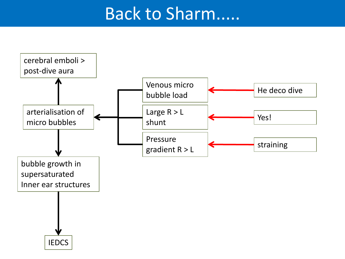#### Back to Sharm.....

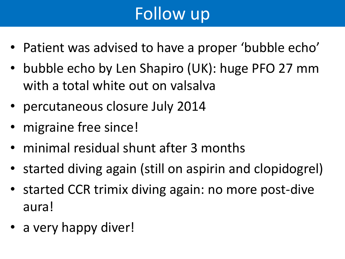# Follow up

- Patient was advised to have a proper 'bubble echo'
- bubble echo by Len Shapiro (UK): huge PFO 27 mm with a total white out on valsalva
- percutaneous closure July 2014
- migraine free since!
- minimal residual shunt after 3 months
- started diving again (still on aspirin and clopidogrel)
- started CCR trimix diving again: no more post-dive aura!
- a very happy diver!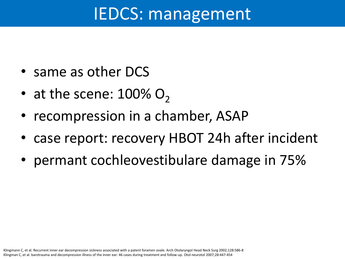#### IEDCS: management

- same as other DCS
- at the scene:  $100\%$  O<sub>2</sub>
- recompression in a chamber, ASAP
- case report: recovery HBOT 24h after incident
- permant cochleovestibulare damage in 75%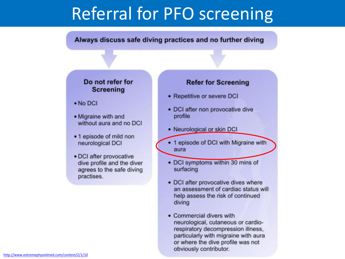#### Referral for PFO screening

#### Always discuss safe diving practices and no further diving

#### Do not refer for **Screening**

- $\bullet$  No DCI
- Migraine with and without aura and no DCI
- 1 episode of mild non neurological DCI
- DCI after provocative dive profile and the diver agrees to the safe diving practises.

#### **Refer for Screening**

- Repetitive or severe DCI
- DCI after non provocative dive profile
- Neurological or skin DCI
- 1 episode of DCI with Migraine with aura
- DCI symptoms within 30 mins of surfacing
- DCI after provocative dives where an assessment of cardiac status will help assess the risk of continued diving
- Commercial divers with neurological, cutaneous or cardiorespiratory decompression illness. particularly with migraine with aura or where the dive profile was not obviously contributor.